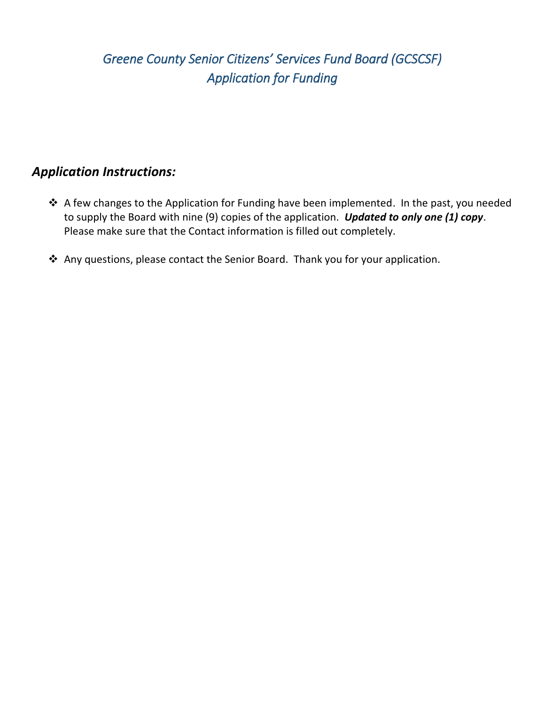## *Greene County Senior Citizens' Services Fund Board (GCSCSF) Application for Funding*

### *Application Instructions:*

- \* A few changes to the Application for Funding have been implemented. In the past, you needed to supply the Board with nine (9) copies of the application. *Updated to only one (1) copy*. Please make sure that the Contact information is filled out completely.
- Any questions, please contact the Senior Board. Thank you for your application.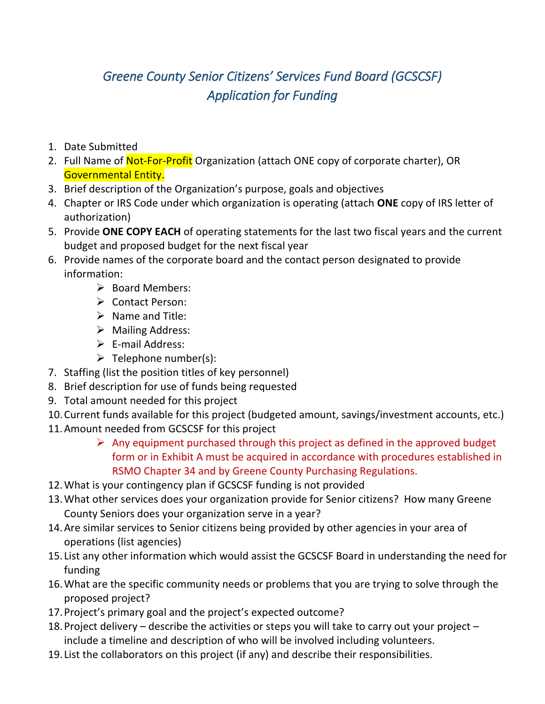# *Greene County Senior Citizens' Services Fund Board (GCSCSF) Application for Funding*

- 1. Date Submitted
- 2. Full Name of Not-For-Profit Organization (attach ONE copy of corporate charter), OR Governmental Entity.
- 3. Brief description of the Organization's purpose, goals and objectives
- 4. Chapter or IRS Code under which organization is operating (attach **ONE** copy of IRS letter of authorization)
- 5. Provide **ONE COPY EACH** of operating statements for the last two fiscal years and the current budget and proposed budget for the next fiscal year
- 6. Provide names of the corporate board and the contact person designated to provide information:
	- $\triangleright$  Board Members:
	- Contact Person:
	- $\triangleright$  Name and Title:
	- $\triangleright$  Mailing Address:
	- $\triangleright$  E-mail Address:
	- $\triangleright$  Telephone number(s):
- 7. Staffing (list the position titles of key personnel)
- 8. Brief description for use of funds being requested
- 9. Total amount needed for this project
- 10.Current funds available for this project (budgeted amount, savings/investment accounts, etc.)
- 11.Amount needed from GCSCSF for this project
	- $\triangleright$  Any equipment purchased through this project as defined in the approved budget form or in Exhibit A must be acquired in accordance with procedures established in RSMO Chapter 34 and by Greene County Purchasing Regulations.
- 12.What is your contingency plan if GCSCSF funding is not provided
- 13.What other services does your organization provide for Senior citizens? How many Greene County Seniors does your organization serve in a year?
- 14.Are similar services to Senior citizens being provided by other agencies in your area of operations (list agencies)
- 15. List any other information which would assist the GCSCSF Board in understanding the need for funding
- 16.What are the specific community needs or problems that you are trying to solve through the proposed project?
- 17.Project's primary goal and the project's expected outcome?
- 18.Project delivery describe the activities or steps you will take to carry out your project include a timeline and description of who will be involved including volunteers.
- 19. List the collaborators on this project (if any) and describe their responsibilities.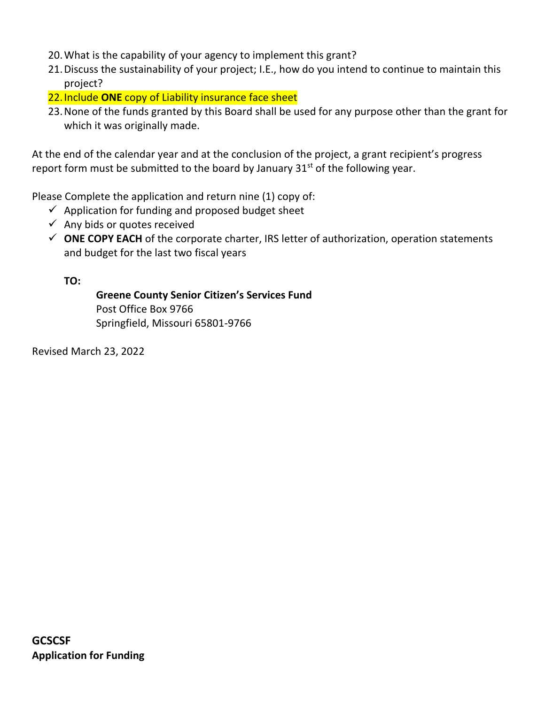- 20.What is the capability of your agency to implement this grant?
- 21.Discuss the sustainability of your project; I.E., how do you intend to continue to maintain this project?
- 22.Include **ONE** copy of Liability insurance face sheet
- 23.None of the funds granted by this Board shall be used for any purpose other than the grant for which it was originally made.

At the end of the calendar year and at the conclusion of the project, a grant recipient's progress report form must be submitted to the board by January  $31<sup>st</sup>$  of the following year.

Please Complete the application and return nine (1) copy of:

- $\checkmark$  Application for funding and proposed budget sheet
- $\checkmark$  Any bids or quotes received
- **ONE COPY EACH** of the corporate charter, IRS letter of authorization, operation statements and budget for the last two fiscal years

**TO:**

**Greene County Senior Citizen's Services Fund** Post Office Box 9766 Springfield, Missouri 65801-9766

Revised March 23, 2022